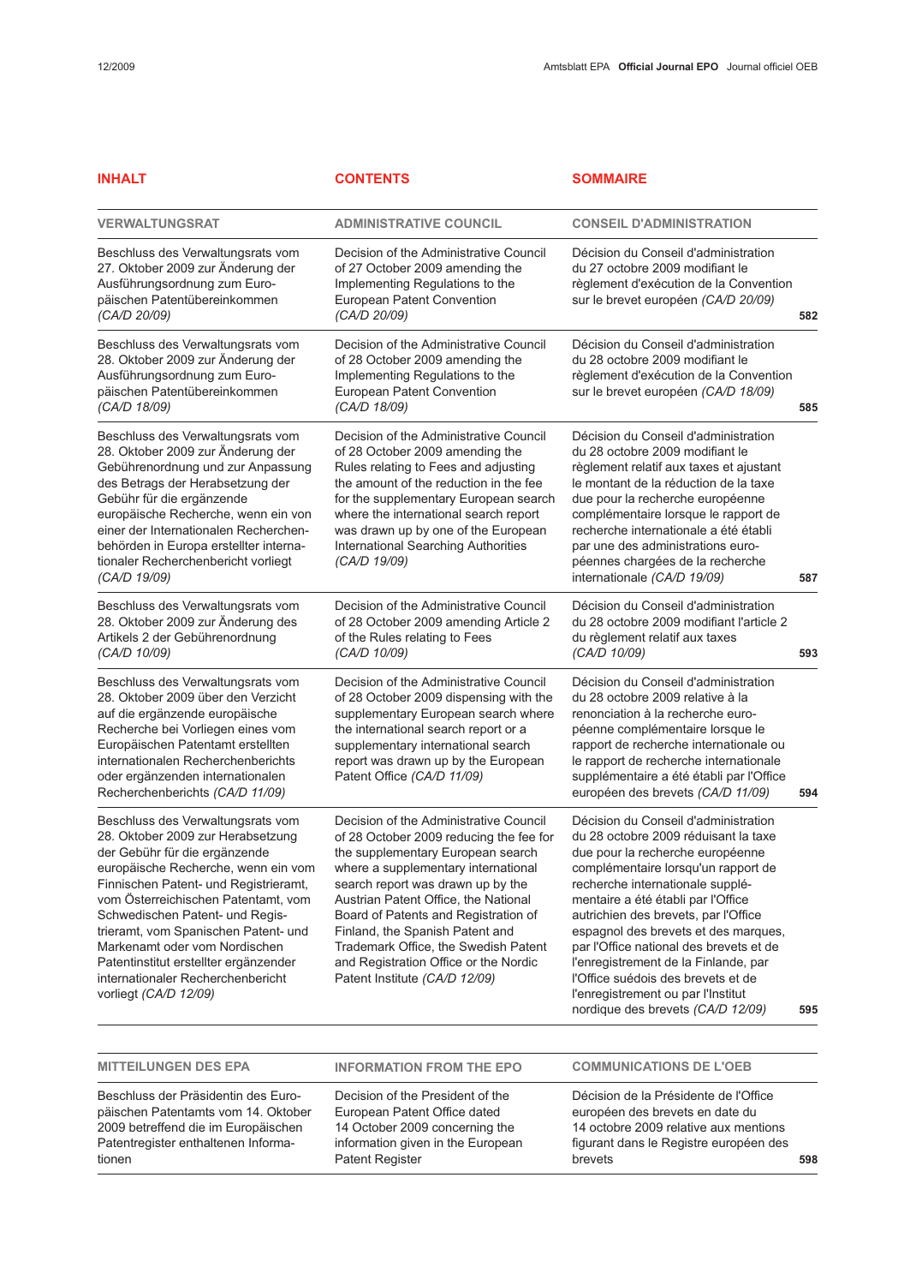| <b>INHALT</b>                                                                                                                                                                                                                                                                                                                                                                                                                                     | <b>CONTENTS</b>                                                                                                                                                                                                                                                                                                                                                                                                                         | <b>SOMMAIRE</b>                                                                                                                                                                                                                                                                                                                                                                                                                                                                                                       |     |
|---------------------------------------------------------------------------------------------------------------------------------------------------------------------------------------------------------------------------------------------------------------------------------------------------------------------------------------------------------------------------------------------------------------------------------------------------|-----------------------------------------------------------------------------------------------------------------------------------------------------------------------------------------------------------------------------------------------------------------------------------------------------------------------------------------------------------------------------------------------------------------------------------------|-----------------------------------------------------------------------------------------------------------------------------------------------------------------------------------------------------------------------------------------------------------------------------------------------------------------------------------------------------------------------------------------------------------------------------------------------------------------------------------------------------------------------|-----|
| <b>VERWALTUNGSRAT</b>                                                                                                                                                                                                                                                                                                                                                                                                                             | <b>ADMINISTRATIVE COUNCIL</b>                                                                                                                                                                                                                                                                                                                                                                                                           | <b>CONSEIL D'ADMINISTRATION</b>                                                                                                                                                                                                                                                                                                                                                                                                                                                                                       |     |
| Beschluss des Verwaltungsrats vom<br>27. Oktober 2009 zur Änderung der<br>Ausführungsordnung zum Euro-<br>päischen Patentübereinkommen<br>(CA/D 20/09)                                                                                                                                                                                                                                                                                            | Decision of the Administrative Council<br>of 27 October 2009 amending the<br>Implementing Regulations to the<br>European Patent Convention<br>(CA/D 20/09)                                                                                                                                                                                                                                                                              | Décision du Conseil d'administration<br>du 27 octobre 2009 modifiant le<br>règlement d'exécution de la Convention<br>sur le brevet européen (CA/D 20/09)                                                                                                                                                                                                                                                                                                                                                              | 582 |
| Beschluss des Verwaltungsrats vom<br>28. Oktober 2009 zur Änderung der<br>Ausführungsordnung zum Euro-<br>päischen Patentübereinkommen<br>(CA/D 18/09)                                                                                                                                                                                                                                                                                            | Decision of the Administrative Council<br>of 28 October 2009 amending the<br>Implementing Regulations to the<br><b>European Patent Convention</b><br>(CA/D 18/09)                                                                                                                                                                                                                                                                       | Décision du Conseil d'administration<br>du 28 octobre 2009 modifiant le<br>règlement d'exécution de la Convention<br>sur le brevet européen (CA/D 18/09)                                                                                                                                                                                                                                                                                                                                                              | 585 |
| Beschluss des Verwaltungsrats vom<br>28. Oktober 2009 zur Änderung der<br>Gebührenordnung und zur Anpassung<br>des Betrags der Herabsetzung der<br>Gebühr für die ergänzende<br>europäische Recherche, wenn ein von<br>einer der Internationalen Recherchen-<br>behörden in Europa erstellter interna-<br>tionaler Recherchenbericht vorliegt<br>(CA/D 19/09)                                                                                     | Decision of the Administrative Council<br>of 28 October 2009 amending the<br>Rules relating to Fees and adjusting<br>the amount of the reduction in the fee<br>for the supplementary European search<br>where the international search report<br>was drawn up by one of the European<br>International Searching Authorities<br>(CA/D 19/09)                                                                                             | Décision du Conseil d'administration<br>du 28 octobre 2009 modifiant le<br>règlement relatif aux taxes et ajustant<br>le montant de la réduction de la taxe<br>due pour la recherche européenne<br>complémentaire lorsque le rapport de<br>recherche internationale a été établi<br>par une des administrations euro-<br>péennes chargées de la recherche<br>internationale (CA/D 19/09)                                                                                                                              | 587 |
| Beschluss des Verwaltungsrats vom<br>28. Oktober 2009 zur Änderung des<br>Artikels 2 der Gebührenordnung<br>(CA/D 10/09)                                                                                                                                                                                                                                                                                                                          | Decision of the Administrative Council<br>of 28 October 2009 amending Article 2<br>of the Rules relating to Fees<br>(CA/D 10/09)                                                                                                                                                                                                                                                                                                        | Décision du Conseil d'administration<br>du 28 octobre 2009 modifiant l'article 2<br>du règlement relatif aux taxes<br>(CA/D 10/09)                                                                                                                                                                                                                                                                                                                                                                                    | 593 |
| Beschluss des Verwaltungsrats vom<br>28. Oktober 2009 über den Verzicht<br>auf die ergänzende europäische<br>Recherche bei Vorliegen eines vom<br>Europäischen Patentamt erstellten<br>internationalen Recherchenberichts<br>oder ergänzenden internationalen<br>Recherchenberichts (CA/D 11/09)                                                                                                                                                  | Decision of the Administrative Council<br>of 28 October 2009 dispensing with the<br>supplementary European search where<br>the international search report or a<br>supplementary international search<br>report was drawn up by the European<br>Patent Office (CA/D 11/09)                                                                                                                                                              | Décision du Conseil d'administration<br>du 28 octobre 2009 relative à la<br>renonciation à la recherche euro-<br>péenne complémentaire lorsque le<br>rapport de recherche internationale ou<br>le rapport de recherche internationale<br>supplémentaire a été établi par l'Office<br>européen des brevets (CA/D 11/09)                                                                                                                                                                                                | 594 |
| Beschluss des Verwaltungsrats vom<br>28. Oktober 2009 zur Herabsetzung<br>der Gebühr für die ergänzende<br>europäische Recherche, wenn ein vom<br>Finnischen Patent- und Registrieramt,<br>vom Österreichischen Patentamt, vom<br>Schwedischen Patent- und Regis-<br>trieramt, vom Spanischen Patent- und<br>Markenamt oder vom Nordischen<br>Patentinstitut erstellter ergänzender<br>internationaler Recherchenbericht<br>vorliegt (CA/D 12/09) | Decision of the Administrative Council<br>of 28 October 2009 reducing the fee for<br>the supplementary European search<br>where a supplementary international<br>search report was drawn up by the<br>Austrian Patent Office, the National<br>Board of Patents and Registration of<br>Finland, the Spanish Patent and<br>Trademark Office, the Swedish Patent<br>and Registration Office or the Nordic<br>Patent Institute (CA/D 12/09) | Décision du Conseil d'administration<br>du 28 octobre 2009 réduisant la taxe<br>due pour la recherche européenne<br>complémentaire lorsqu'un rapport de<br>recherche internationale supplé-<br>mentaire a été établi par l'Office<br>autrichien des brevets, par l'Office<br>espagnol des brevets et des marques,<br>par l'Office national des brevets et de<br>l'enregistrement de la Finlande, par<br>l'Office suédois des brevets et de<br>l'enregistrement ou par l'Institut<br>nordique des brevets (CA/D 12/09) | 595 |

MITTEILUNGEN DES EPA

INFORMATION FROM THE EPO

Beschluss der Präsidentin des Europäischen Patentamts vom 14. Oktober 2009 betreffend die im Europäischen Patentregister enthaltenen Informationen

Decision of the President of the European Patent Office dated 14 October 2009 concerning the information given in the European Patent Register

COMMUNICATIONS DE L'OEB

Décision de la Présidente de l'Office européen des brevets en date du 14 octobre 2009 relative aux mentions figurant dans le Registre européen des brevets 598